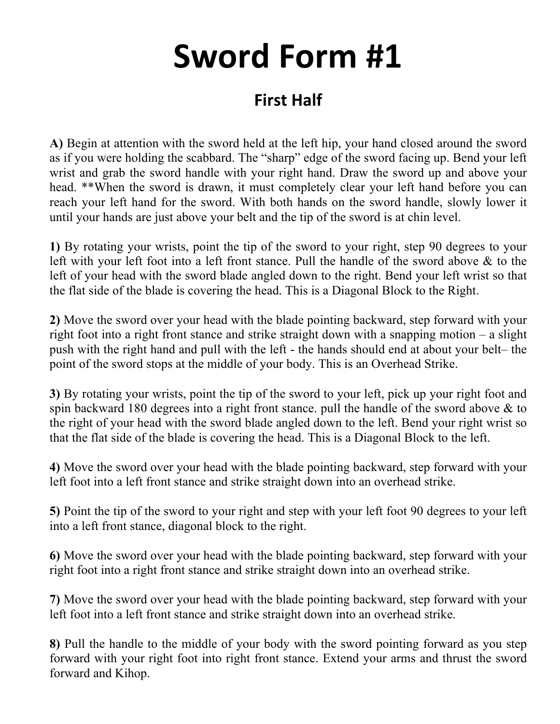## **Sword Form #1**

## **First Half**

**A)** Begin at attention with the sword held at the left hip, your hand closed around the sword as if you were holding the scabbard. The "sharp" edge of the sword facing up. Bend your left wrist and grab the sword handle with your right hand. Draw the sword up and above your head. \*\*When the sword is drawn, it must completely clear your left hand before you can reach your left hand for the sword. With both hands on the sword handle, slowly lower it until your hands are just above your belt and the tip of the sword is at chin level.

**1)** By rotating your wrists, point the tip of the sword to your right, step 90 degrees to your left with your left foot into a left front stance. Pull the handle of the sword above & to the left of your head with the sword blade angled down to the right. Bend your left wrist so that the flat side of the blade is covering the head. This is a Diagonal Block to the Right.

**2)** Move the sword over your head with the blade pointing backward, step forward with your right foot into a right front stance and strike straight down with a snapping motion – a slight push with the right hand and pull with the left - the hands should end at about your belt– the point of the sword stops at the middle of your body. This is an Overhead Strike.

**3)** By rotating your wrists, point the tip of the sword to your left, pick up your right foot and spin backward 180 degrees into a right front stance. pull the handle of the sword above & to the right of your head with the sword blade angled down to the left. Bend your right wrist so that the flat side of the blade is covering the head. This is a Diagonal Block to the left.

**4)** Move the sword over your head with the blade pointing backward, step forward with your left foot into a left front stance and strike straight down into an overhead strike.

**5)** Point the tip of the sword to your right and step with your left foot 90 degrees to your left into a left front stance, diagonal block to the right.

**6)** Move the sword over your head with the blade pointing backward, step forward with your right foot into a right front stance and strike straight down into an overhead strike.

**7)** Move the sword over your head with the blade pointing backward, step forward with your left foot into a left front stance and strike straight down into an overhead strike.

**8)** Pull the handle to the middle of your body with the sword pointing forward as you step forward with your right foot into right front stance. Extend your arms and thrust the sword forward and Kihop.